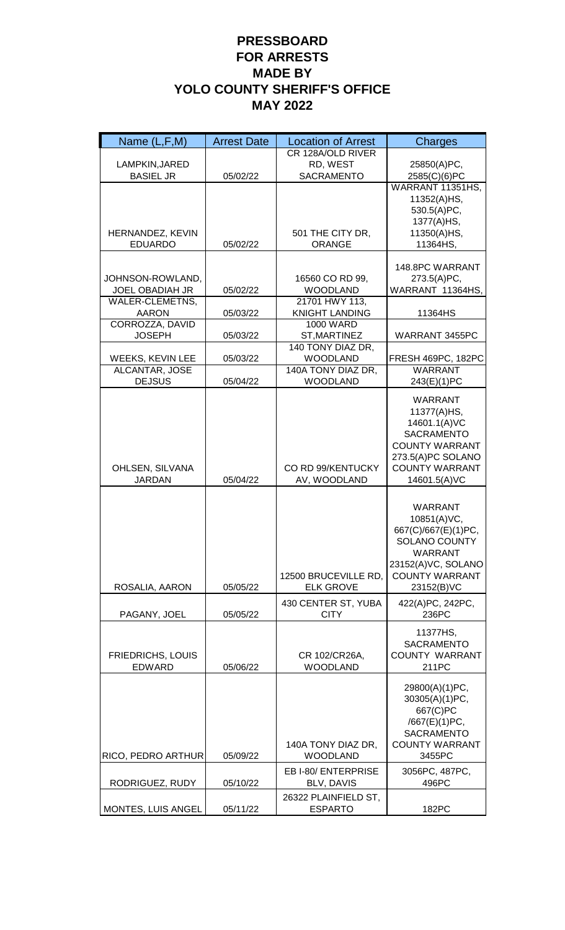| Name $(L, F, M)$                          | <b>Arrest Date</b> | <b>Location of Arrest</b>          | Charges                                    |
|-------------------------------------------|--------------------|------------------------------------|--------------------------------------------|
|                                           |                    | CR 128A/OLD RIVER                  |                                            |
| LAMPKIN, JARED                            |                    | RD, WEST                           | 25850(A)PC,                                |
| <b>BASIEL JR</b>                          | 05/02/22           | SACRAMENTO                         | 2585(C)(6)PC                               |
|                                           |                    |                                    | WARRANT 11351HS,                           |
|                                           |                    |                                    | 11352(A)HS,<br>530.5(A)PC,                 |
|                                           |                    |                                    | 1377(A)HS,                                 |
| HERNANDEZ, KEVIN                          |                    | 501 THE CITY DR,                   | 11350(A)HS,                                |
| <b>EDUARDO</b>                            | 05/02/22           | <b>ORANGE</b>                      | 11364HS,                                   |
|                                           |                    |                                    |                                            |
|                                           |                    |                                    | 148.8PC WARRANT                            |
| JOHNSON-ROWLAND,                          |                    | 16560 CO RD 99,                    | 273.5(A)PC,                                |
| <b>JOEL OBADIAH JR</b>                    | 05/02/22           | <b>WOODLAND</b>                    | WARRANT 11364HS,                           |
| <b>WALER-CLEMETNS,</b>                    |                    | 21701 HWY 113,                     |                                            |
| <b>AARON</b>                              | 05/03/22           | <b>KNIGHT LANDING</b>              | 11364HS                                    |
| CORROZZA, DAVID<br><b>JOSEPH</b>          |                    | <b>1000 WARD</b>                   |                                            |
|                                           | 05/03/22           | ST, MARTINEZ<br>140 TONY DIAZ DR.  | WARRANT 3455PC                             |
| <b>WEEKS, KEVIN LEE</b>                   | 05/03/22           | <b>WOODLAND</b>                    | <b>FRESH 469PC, 182PC</b>                  |
| <b>ALCANTAR, JOSE</b>                     |                    | 140A TONY DIAZ DR.                 | <b>WARRANT</b>                             |
| <b>DEJSUS</b>                             | 05/04/22           | <b>WOODLAND</b>                    | 243(E)(1)PC                                |
|                                           |                    |                                    |                                            |
|                                           |                    |                                    | <b>WARRANT</b><br>11377(A)HS,              |
|                                           |                    |                                    | 14601.1(A)VC                               |
|                                           |                    |                                    | <b>SACRAMENTO</b>                          |
|                                           |                    |                                    | <b>COUNTY WARRANT</b>                      |
|                                           |                    |                                    | 273.5(A)PC SOLANO                          |
| OHLSEN, SILVANA                           |                    | CO RD 99/KENTUCKY                  | <b>COUNTY WARRANT</b>                      |
| <b>JARDAN</b>                             | 05/04/22           | AV, WOODLAND                       | 14601.5(A)VC                               |
|                                           |                    |                                    |                                            |
|                                           |                    |                                    | <b>WARRANT</b>                             |
|                                           |                    |                                    | 10851(A)VC,                                |
|                                           |                    |                                    | 667(C)/667(E)(1)PC,                        |
|                                           |                    |                                    | <b>SOLANO COUNTY</b>                       |
|                                           |                    |                                    | WARRANT<br>23152(A)VC, SOLANO              |
|                                           |                    | 12500 BRUCEVILLE RD,               | <b>COUNTY WARRANT</b>                      |
| ROSALIA, AARON                            | 05/05/22           | <b>ELK GROVE</b>                   | 23152(B)VC                                 |
|                                           |                    |                                    |                                            |
| PAGANY, JOEL                              | 05/05/22           | 430 CENTER ST, YUBA<br><b>CITY</b> | 422(A)PC, 242PC,<br>236PC                  |
|                                           |                    |                                    |                                            |
|                                           |                    |                                    | 11377HS,                                   |
|                                           |                    |                                    | <b>SACRAMENTO</b><br><b>COUNTY WARRANT</b> |
| <b>FRIEDRICHS, LOUIS</b><br><b>EDWARD</b> | 05/06/22           | CR 102/CR26A,<br><b>WOODLAND</b>   | 211PC                                      |
|                                           |                    |                                    |                                            |
|                                           |                    |                                    | 29800(A)(1)PC,                             |
|                                           |                    |                                    | 30305(A)(1)PC,                             |
|                                           |                    |                                    | 667(C)PC                                   |
|                                           |                    |                                    | /667(E)(1)PC,                              |
|                                           |                    | 140A TONY DIAZ DR,                 | <b>SACRAMENTO</b><br><b>COUNTY WARRANT</b> |
| RICO, PEDRO ARTHUR                        | 05/09/22           | <b>WOODLAND</b>                    | 3455PC                                     |
|                                           |                    | EB I-80/ ENTERPRISE                | 3056PC, 487PC,                             |
| RODRIGUEZ, RUDY                           | 05/10/22           | BLV, DAVIS                         | 496PC                                      |
|                                           |                    | 26322 PLAINFIELD ST,               |                                            |
| <b>MONTES, LUIS ANGEL</b>                 | 05/11/22           | <b>ESPARTO</b>                     | 182PC                                      |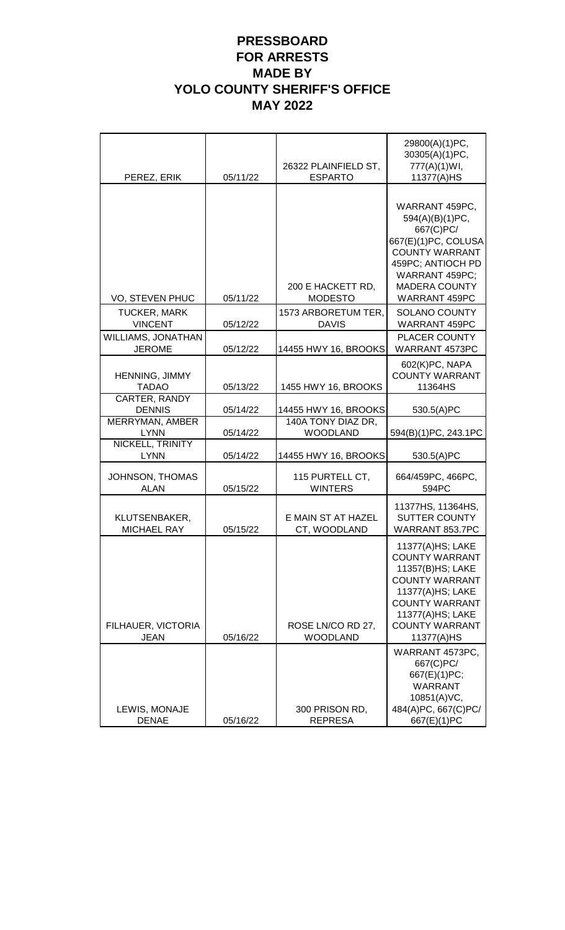| PEREZ, ERIK                         | 05/11/22 | 26322 PLAINFIELD ST,<br><b>ESPARTO</b> | 29800(A)(1)PC,<br>30305(A)(1)PC,<br>777(A)(1)WI,<br>11377(A)HS                                                                                                                                 |
|-------------------------------------|----------|----------------------------------------|------------------------------------------------------------------------------------------------------------------------------------------------------------------------------------------------|
|                                     |          |                                        |                                                                                                                                                                                                |
| VO, STEVEN PHUC                     | 05/11/22 | 200 E HACKETT RD,<br><b>MODESTO</b>    | WARRANT 459PC,<br>594(A)(B)(1)PC,<br>667(C)PC/<br>667(E)(1)PC, COLUSA<br><b>COUNTY WARRANT</b><br>459PC; ANTIOCH PD<br>WARRANT 459PC;<br><b>MADERA COUNTY</b><br>WARRANT 459PC                 |
| <b>TUCKER, MARK</b>                 |          | 1573 ARBORETUM TER,                    | <b>SOLANO COUNTY</b>                                                                                                                                                                           |
| <b>VINCENT</b>                      | 05/12/22 | <b>DAVIS</b>                           | <b>WARRANT 459PC</b>                                                                                                                                                                           |
| WILLIAMS, JONATHAN<br><b>JEROME</b> | 05/12/22 | 14455 HWY 16, BROOKS                   | <b>PLACER COUNTY</b><br>WARRANT 4573PC                                                                                                                                                         |
| HENNING, JIMMY<br><b>TADAO</b>      | 05/13/22 | 1455 HWY 16, BROOKS                    | 602(K)PC, NAPA<br><b>COUNTY WARRANT</b><br>11364HS                                                                                                                                             |
| CARTER, RANDY<br><b>DENNIS</b>      | 05/14/22 | 14455 HWY 16, BROOKS                   | 530.5(A)PC                                                                                                                                                                                     |
| MERRYMAN, AMBER<br><b>LYNN</b>      | 05/14/22 | 140A TONY DIAZ DR,<br><b>WOODLAND</b>  | 594(B)(1)PC, 243.1PC                                                                                                                                                                           |
| NICKELL, TRINITY<br><b>LYNN</b>     | 05/14/22 | 14455 HWY 16, BROOKS                   | 530.5(A)PC                                                                                                                                                                                     |
| JOHNSON, THOMAS<br><b>ALAN</b>      | 05/15/22 | 115 PURTELL CT,<br><b>WINTERS</b>      | 664/459PC, 466PC,<br>594PC                                                                                                                                                                     |
| KLUTSENBAKER,<br><b>MICHAEL RAY</b> | 05/15/22 | E MAIN ST AT HAZEL<br>CT, WOODLAND     | 11377HS, 11364HS,<br><b>SUTTER COUNTY</b><br>WARRANT 853.7PC                                                                                                                                   |
| FILHAUER, VICTORIA<br><b>JEAN</b>   | 05/16/22 | ROSE LN/CO RD 27,<br><b>WOODLAND</b>   | 11377(A)HS; LAKE<br><b>COUNTY WARRANT</b><br>11357(B)HS; LAKE<br><b>COUNTY WARRANT</b><br>11377(A)HS; LAKE<br><b>COUNTY WARRANT</b><br>11377(A)HS; LAKE<br><b>COUNTY WARRANT</b><br>11377(A)HS |
| LEWIS, MONAJE<br><b>DENAE</b>       | 05/16/22 | 300 PRISON RD,<br><b>REPRESA</b>       | WARRANT 4573PC,<br>667(C)PC/<br>667(E)(1)PC;<br><b>WARRANT</b><br>10851(A)VC,<br>484(A)PC, 667(C)PC/<br>667(E)(1)PC                                                                            |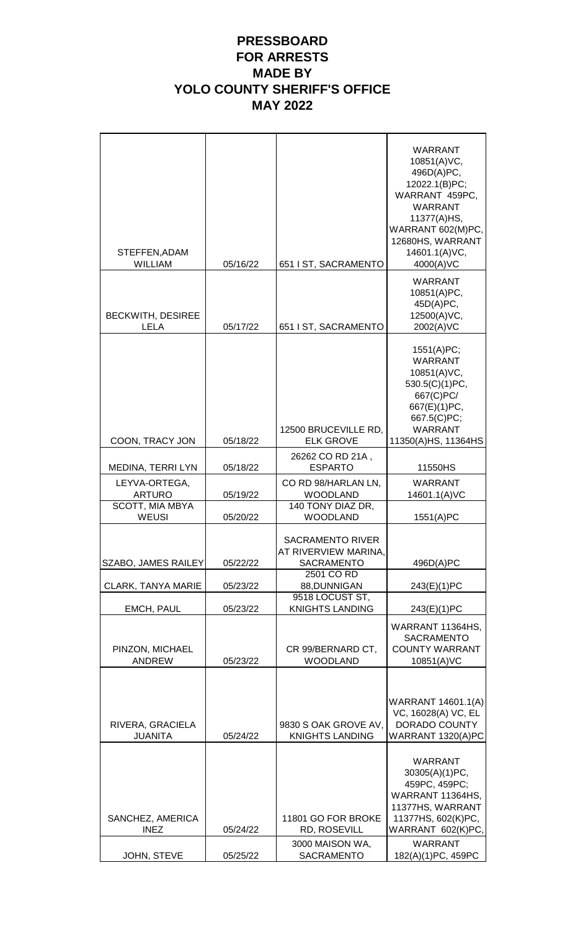$\mathbf{r}$ 

| STEFFEN, ADAM<br><b>WILLIAM</b>                  | 05/16/22             | 651 I ST, SACRAMENTO                                                                               | <b>WARRANT</b><br>10851(A)VC,<br>496D(A)PC,<br>12022.1(B)PC;<br>WARRANT 459PC.<br><b>WARRANT</b><br>11377(A)HS,<br>WARRANT 602(M)PC,<br>12680HS, WARRANT<br>14601.1(A)VC,<br>4000(A)VC |
|--------------------------------------------------|----------------------|----------------------------------------------------------------------------------------------------|----------------------------------------------------------------------------------------------------------------------------------------------------------------------------------------|
| <b>BECKWITH, DESIREE</b><br>LELA                 | 05/17/22             | 651 I ST, SACRAMENTO                                                                               | <b>WARRANT</b><br>10851(A)PC,<br>45D(A)PC,<br>12500(A)VC,<br>2002(A)VC                                                                                                                 |
| COON, TRACY JON                                  | 05/18/22             | 12500 BRUCEVILLE RD,<br><b>ELK GROVE</b>                                                           | 1551(A)PC;<br><b>WARRANT</b><br>10851(A)VC,<br>530.5(C)(1)PC,<br>667(C)PC/<br>667(E)(1)PC,<br>667.5(C)PC;<br><b>WARRANT</b><br>11350(A)HS, 11364HS                                     |
|                                                  |                      | 26262 CO RD 21A,                                                                                   |                                                                                                                                                                                        |
| <b>MEDINA, TERRI LYN</b><br>LEYVA-ORTEGA,        | 05/18/22             | <b>ESPARTO</b><br>CO RD 98/HARLAN LN,                                                              | 11550HS<br><b>WARRANT</b>                                                                                                                                                              |
| <b>ARTURO</b>                                    | 05/19/22             | <b>WOODLAND</b>                                                                                    | 14601.1(A)VC                                                                                                                                                                           |
| SCOTT, MIA MBYA<br><b>WEUSI</b>                  | 05/20/22             | 140 TONY DIAZ DR,<br><b>WOODLAND</b>                                                               | 1551(A)PC                                                                                                                                                                              |
| SZABO, JAMES RAILEY<br><b>CLARK, TANYA MARIE</b> | 05/22/22<br>05/23/22 | <b>SACRAMENTO RIVER</b><br>AT RIVERVIEW MARINA,<br><b>SACRAMENTO</b><br>2501 CO RD<br>88, DUNNIGAN | 496D(A)PC<br>243(E)(1)PC                                                                                                                                                               |
| <b>EMCH, PAUL</b>                                | 05/23/22             | 9518 LOCUST ST,<br><b>KNIGHTS LANDING</b>                                                          | 243(E)(1)PC                                                                                                                                                                            |
| PINZON, MICHAEL<br><b>ANDREW</b>                 | 05/23/22             | CR 99/BERNARD CT,<br><b>WOODLAND</b>                                                               | WARRANT 11364HS,<br><b>SACRAMENTO</b><br><b>COUNTY WARRANT</b><br>10851(A)VC                                                                                                           |
| RIVERA, GRACIELA<br><b>JUANITA</b>               | 05/24/22             | 9830 S OAK GROVE AV,<br><b>KNIGHTS LANDING</b>                                                     | WARRANT 14601.1(A)<br>VC, 16028(A) VC, EL<br>DORADO COUNTY<br>WARRANT 1320(A)PC                                                                                                        |
| SANCHEZ, AMERICA<br><b>INEZ</b>                  | 05/24/22             | 11801 GO FOR BROKE<br>RD, ROSEVILL<br>3000 MAISON WA,                                              | <b>WARRANT</b><br>30305(A)(1)PC,<br>459PC, 459PC;<br>WARRANT 11364HS,<br>11377HS, WARRANT<br>11377HS, 602(K)PC,<br>WARRANT 602(K)PC,<br><b>WARRANT</b>                                 |
| JOHN, STEVE                                      | 05/25/22             | SACRAMENTO                                                                                         | 182(A)(1)PC, 459PC                                                                                                                                                                     |